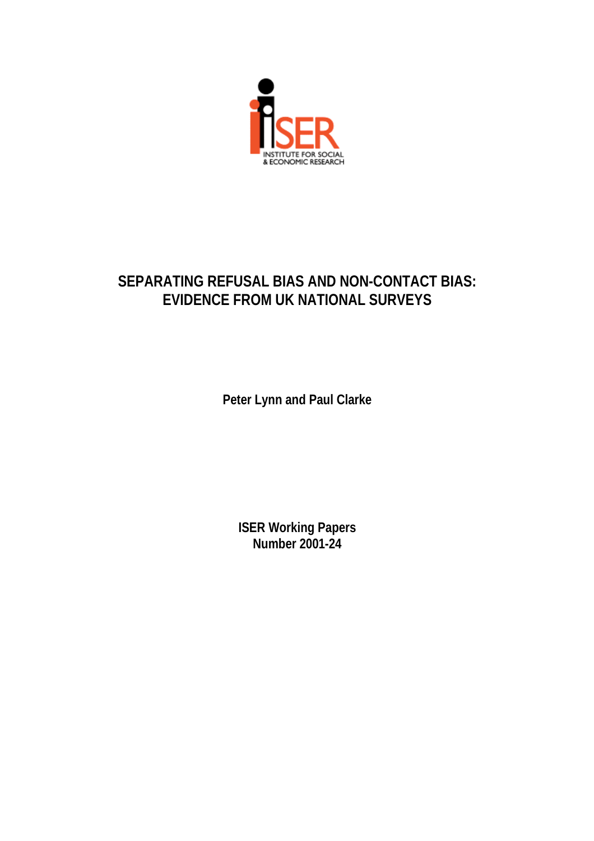

# **SEPARATING REFUSAL BIAS AND NON-CONTACT BIAS: EVIDENCE FROM UK NATIONAL SURVEYS**

**Peter Lynn and Paul Clarke**

**ISER Working Papers Number 2001-24**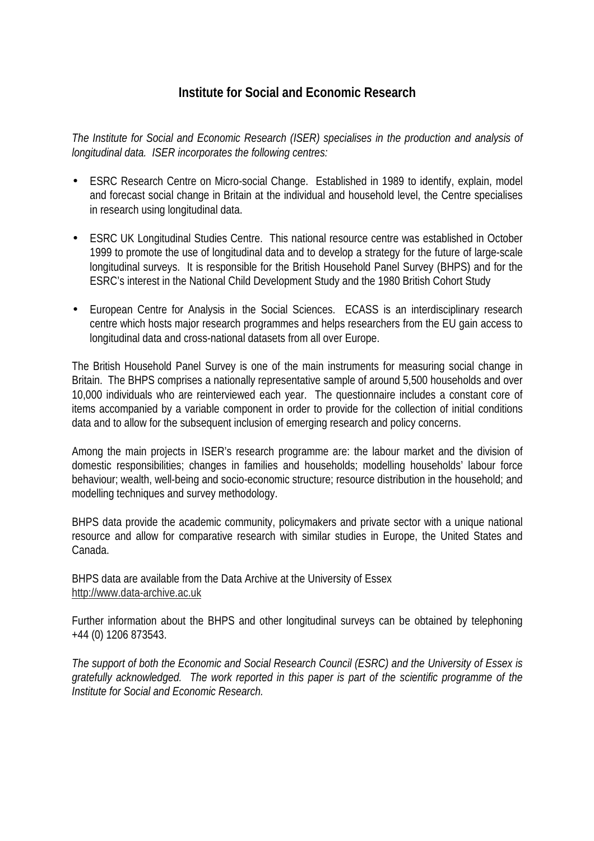# **Institute for Social and Economic Research**

*The Institute for Social and Economic Research (ISER) specialises in the production and analysis of longitudinal data. ISER incorporates the following centres:*

- ESRC Research Centre on Micro-social Change. Established in 1989 to identify, explain, model and forecast social change in Britain at the individual and household level, the Centre specialises in research using longitudinal data.
- ESRC UK Longitudinal Studies Centre. This national resource centre was established in October 1999 to promote the use of longitudinal data and to develop a strategy for the future of large-scale longitudinal surveys. It is responsible for the British Household Panel Survey (BHPS) and for the ESRC's interest in the National Child Development Study and the 1980 British Cohort Study
- European Centre for Analysis in the Social Sciences. ECASS is an interdisciplinary research centre which hosts major research programmes and helps researchers from the EU gain access to longitudinal data and cross-national datasets from all over Europe.

The British Household Panel Survey is one of the main instruments for measuring social change in Britain. The BHPS comprises a nationally representative sample of around 5,500 households and over 10,000 individuals who are reinterviewed each year. The questionnaire includes a constant core of items accompanied by a variable component in order to provide for the collection of initial conditions data and to allow for the subsequent inclusion of emerging research and policy concerns.

Among the main projects in ISER's research programme are: the labour market and the division of domestic responsibilities; changes in families and households; modelling households' labour force behaviour; wealth, well-being and socio-economic structure; resource distribution in the household; and modelling techniques and survey methodology.

BHPS data provide the academic community, policymakers and private sector with a unique national resource and allow for comparative research with similar studies in Europe, the United States and Canada.

BHPS data are available from the Data Archive at the University of Essex http://www.data-archive.ac.uk

Further information about the BHPS and other longitudinal surveys can be obtained by telephoning +44 (0) 1206 873543.

*The support of both the Economic and Social Research Council (ESRC) and the University of Essex is gratefully acknowledged. The work reported in this paper is part of the scientific programme of the Institute for Social and Economic Research.*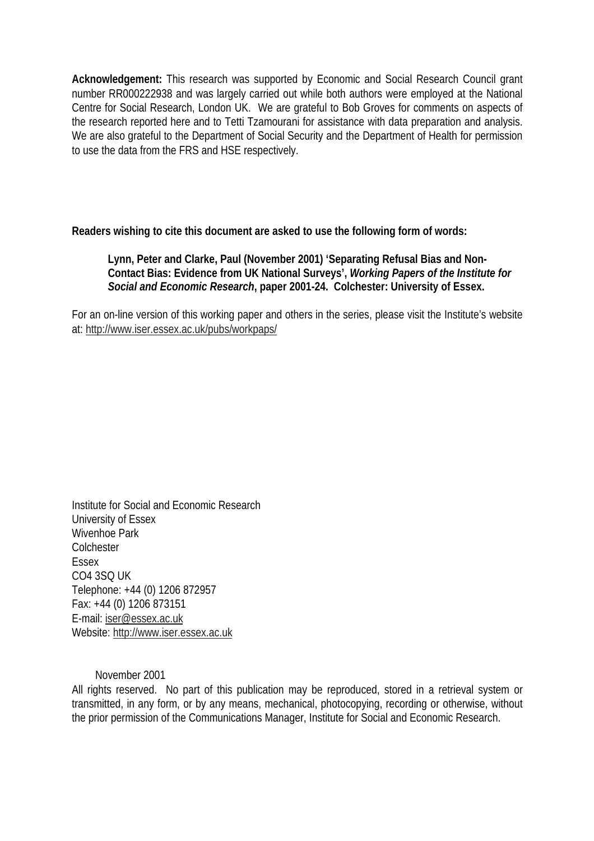**Acknowledgement:** This research was supported by Economic and Social Research Council grant number RR000222938 and was largely carried out while both authors were employed at the National Centre for Social Research, London UK. We are grateful to Bob Groves for comments on aspects of the research reported here and to Tetti Tzamourani for assistance with data preparation and analysis. We are also grateful to the Department of Social Security and the Department of Health for permission to use the data from the FRS and HSE respectively.

**Readers wishing to cite this document are asked to use the following form of words:**

# **Lynn, Peter and Clarke, Paul (November 2001) 'Separating Refusal Bias and Non-Contact Bias: Evidence from UK National Surveys',** *Working Papers of the Institute for Social and Economic Research***, paper 2001-24. Colchester: University of Essex.**

For an on-line version of this working paper and others in the series, please visit the Institute's website at: http://www.iser.essex.ac.uk/pubs/workpaps/

Institute for Social and Economic Research University of Essex Wivenhoe Park **Colchester** Essex CO4 3SQ UK Telephone: +44 (0) 1206 872957 Fax: +44 (0) 1206 873151 E-mail: iser@essex.ac.uk Website: http://www.iser.essex.ac.uk

November 2001

All rights reserved. No part of this publication may be reproduced, stored in a retrieval system or transmitted, in any form, or by any means, mechanical, photocopying, recording or otherwise, without the prior permission of the Communications Manager, Institute for Social and Economic Research.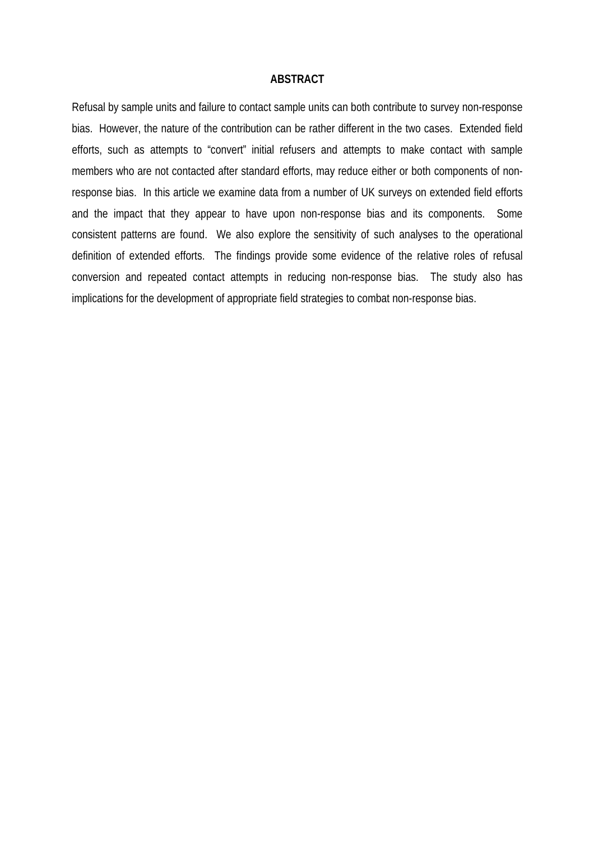#### **ABSTRACT**

Refusal by sample units and failure to contact sample units can both contribute to survey non-response bias. However, the nature of the contribution can be rather different in the two cases. Extended field efforts, such as attempts to "convert" initial refusers and attempts to make contact with sample members who are not contacted after standard efforts, may reduce either or both components of nonresponse bias. In this article we examine data from a number of UK surveys on extended field efforts and the impact that they appear to have upon non-response bias and its components. Some consistent patterns are found. We also explore the sensitivity of such analyses to the operational definition of extended efforts. The findings provide some evidence of the relative roles of refusal conversion and repeated contact attempts in reducing non-response bias. The study also has implications for the development of appropriate field strategies to combat non-response bias.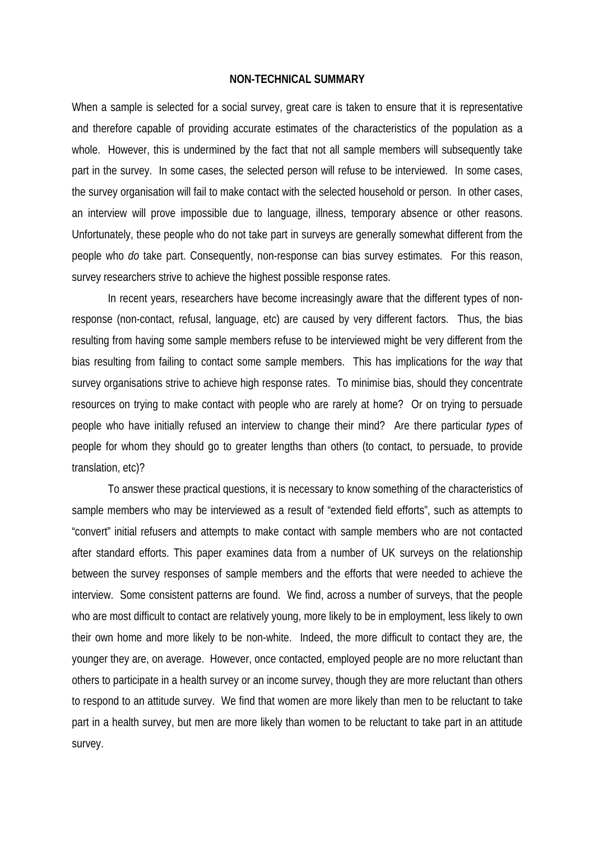#### **NON-TECHNICAL SUMMARY**

When a sample is selected for a social survey, great care is taken to ensure that it is representative and therefore capable of providing accurate estimates of the characteristics of the population as a whole. However, this is undermined by the fact that not all sample members will subsequently take part in the survey. In some cases, the selected person will refuse to be interviewed. In some cases, the survey organisation will fail to make contact with the selected household or person. In other cases, an interview will prove impossible due to language, illness, temporary absence or other reasons. Unfortunately, these people who do not take part in surveys are generally somewhat different from the people who *do* take part. Consequently, non-response can bias survey estimates. For this reason, survey researchers strive to achieve the highest possible response rates.

In recent years, researchers have become increasingly aware that the different types of nonresponse (non-contact, refusal, language, etc) are caused by very different factors. Thus, the bias resulting from having some sample members refuse to be interviewed might be very different from the bias resulting from failing to contact some sample members. This has implications for the *way* that survey organisations strive to achieve high response rates. To minimise bias, should they concentrate resources on trying to make contact with people who are rarely at home? Or on trying to persuade people who have initially refused an interview to change their mind? Are there particular *types* of people for whom they should go to greater lengths than others (to contact, to persuade, to provide translation, etc)?

To answer these practical questions, it is necessary to know something of the characteristics of sample members who may be interviewed as a result of "extended field efforts", such as attempts to "convert" initial refusers and attempts to make contact with sample members who are not contacted after standard efforts. This paper examines data from a number of UK surveys on the relationship between the survey responses of sample members and the efforts that were needed to achieve the interview. Some consistent patterns are found. We find, across a number of surveys, that the people who are most difficult to contact are relatively young, more likely to be in employment, less likely to own their own home and more likely to be non-white. Indeed, the more difficult to contact they are, the younger they are, on average. However, once contacted, employed people are no more reluctant than others to participate in a health survey or an income survey, though they are more reluctant than others to respond to an attitude survey. We find that women are more likely than men to be reluctant to take part in a health survey, but men are more likely than women to be reluctant to take part in an attitude survey.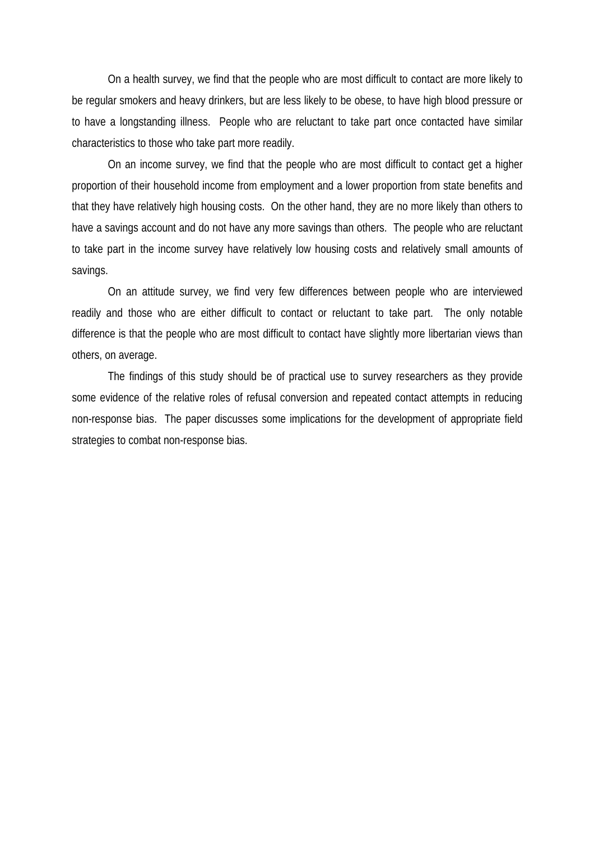On a health survey, we find that the people who are most difficult to contact are more likely to be regular smokers and heavy drinkers, but are less likely to be obese, to have high blood pressure or to have a longstanding illness. People who are reluctant to take part once contacted have similar characteristics to those who take part more readily.

On an income survey, we find that the people who are most difficult to contact get a higher proportion of their household income from employment and a lower proportion from state benefits and that they have relatively high housing costs. On the other hand, they are no more likely than others to have a savings account and do not have any more savings than others. The people who are reluctant to take part in the income survey have relatively low housing costs and relatively small amounts of savings.

On an attitude survey, we find very few differences between people who are interviewed readily and those who are either difficult to contact or reluctant to take part. The only notable difference is that the people who are most difficult to contact have slightly more libertarian views than others, on average.

The findings of this study should be of practical use to survey researchers as they provide some evidence of the relative roles of refusal conversion and repeated contact attempts in reducing non-response bias. The paper discusses some implications for the development of appropriate field strategies to combat non-response bias.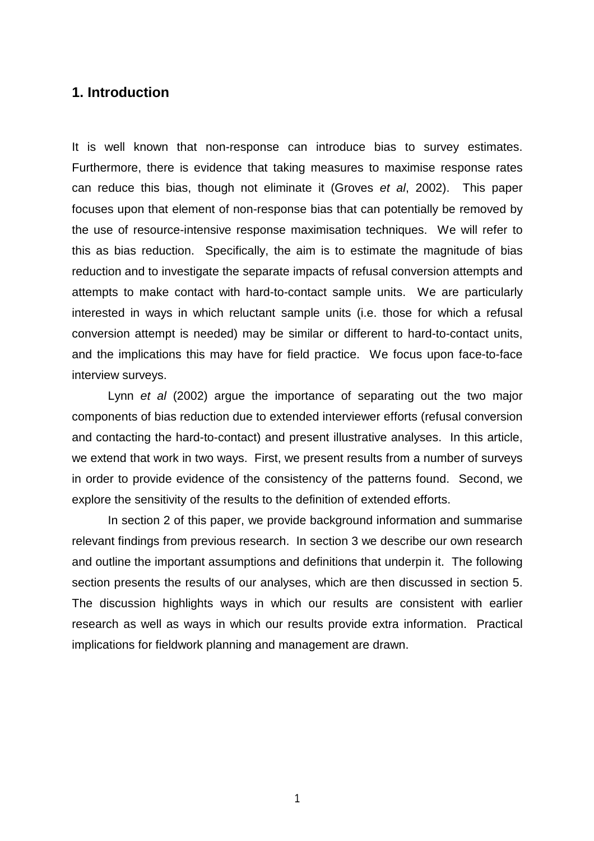# **1. Introduction**

It is well known that non-response can introduce bias to survey estimates. Furthermore, there is evidence that taking measures to maximise response rates can reduce this bias, though not eliminate it (Groves et al, 2002). This paper focuses upon that element of non-response bias that can potentially be removed by the use of resource-intensive response maximisation techniques. We will refer to this as bias reduction. Specifically, the aim is to estimate the magnitude of bias reduction and to investigate the separate impacts of refusal conversion attempts and attempts to make contact with hard-to-contact sample units. We are particularly interested in ways in which reluctant sample units (i.e. those for which a refusal conversion attempt is needed) may be similar or different to hard-to-contact units, and the implications this may have for field practice. We focus upon face-to-face interview surveys.

Lynn et al (2002) argue the importance of separating out the two major components of bias reduction due to extended interviewer efforts (refusal conversion and contacting the hard-to-contact) and present illustrative analyses. In this article, we extend that work in two ways. First, we present results from a number of surveys in order to provide evidence of the consistency of the patterns found. Second, we explore the sensitivity of the results to the definition of extended efforts.

In section 2 of this paper, we provide background information and summarise relevant findings from previous research. In section 3 we describe our own research and outline the important assumptions and definitions that underpin it. The following section presents the results of our analyses, which are then discussed in section 5. The discussion highlights ways in which our results are consistent with earlier research as well as ways in which our results provide extra information. Practical implications for fieldwork planning and management are drawn.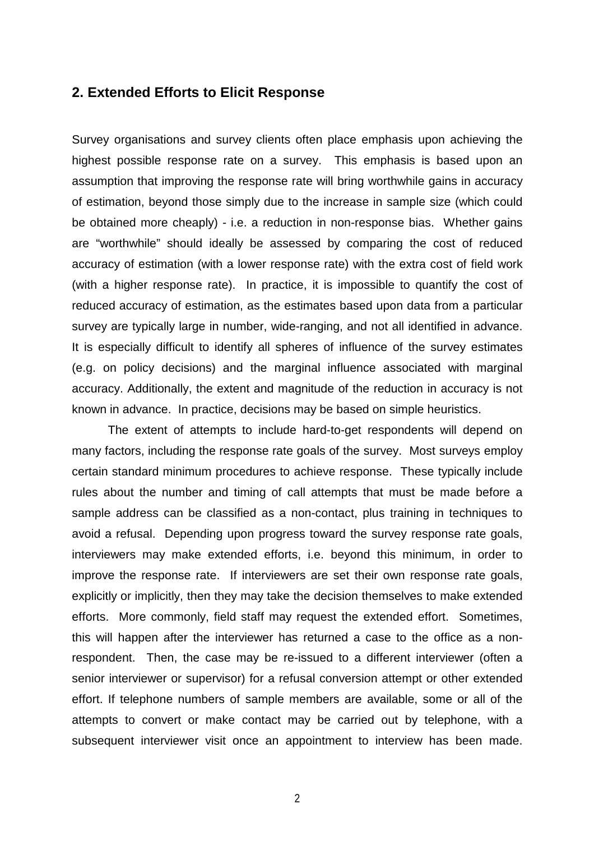# **2. Extended Efforts to Elicit Response**

Survey organisations and survey clients often place emphasis upon achieving the highest possible response rate on a survey. This emphasis is based upon an assumption that improving the response rate will bring worthwhile gains in accuracy of estimation, beyond those simply due to the increase in sample size (which could be obtained more cheaply) - i.e. a reduction in non-response bias. Whether gains are "worthwhile" should ideally be assessed by comparing the cost of reduced accuracy of estimation (with a lower response rate) with the extra cost of field work (with a higher response rate). In practice, it is impossible to quantify the cost of reduced accuracy of estimation, as the estimates based upon data from a particular survey are typically large in number, wide-ranging, and not all identified in advance. It is especially difficult to identify all spheres of influence of the survey estimates (e.g. on policy decisions) and the marginal influence associated with marginal accuracy. Additionally, the extent and magnitude of the reduction in accuracy is not known in advance. In practice, decisions may be based on simple heuristics.

The extent of attempts to include hard-to-get respondents will depend on many factors, including the response rate goals of the survey. Most surveys employ certain standard minimum procedures to achieve response. These typically include rules about the number and timing of call attempts that must be made before a sample address can be classified as a non-contact, plus training in techniques to avoid a refusal. Depending upon progress toward the survey response rate goals, interviewers may make extended efforts, i.e. beyond this minimum, in order to improve the response rate. If interviewers are set their own response rate goals, explicitly or implicitly, then they may take the decision themselves to make extended efforts. More commonly, field staff may request the extended effort. Sometimes, this will happen after the interviewer has returned a case to the office as a nonrespondent. Then, the case may be re-issued to a different interviewer (often a senior interviewer or supervisor) for a refusal conversion attempt or other extended effort. If telephone numbers of sample members are available, some or all of the attempts to convert or make contact may be carried out by telephone, with a subsequent interviewer visit once an appointment to interview has been made.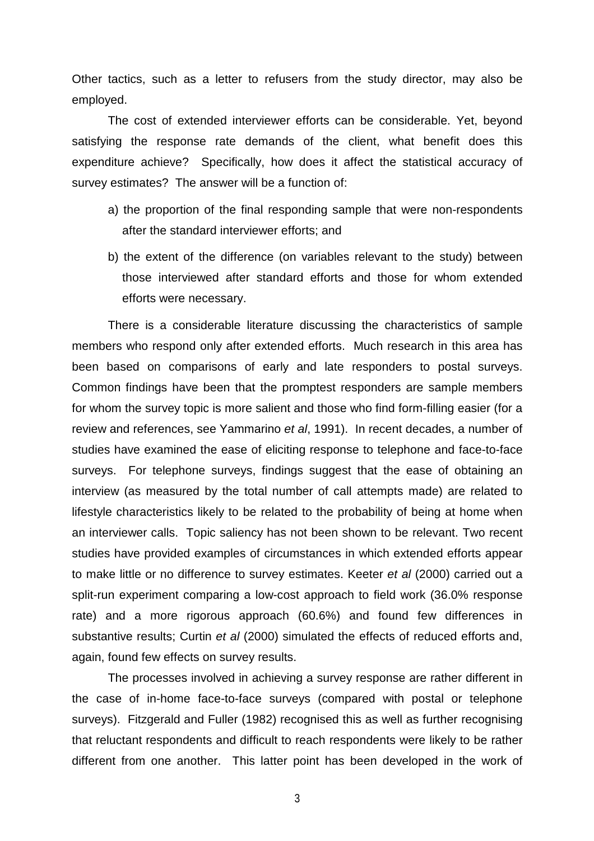Other tactics, such as a letter to refusers from the study director, may also be employed.

The cost of extended interviewer efforts can be considerable. Yet, beyond satisfying the response rate demands of the client, what benefit does this expenditure achieve? Specifically, how does it affect the statistical accuracy of survey estimates? The answer will be a function of:

- a) the proportion of the final responding sample that were non-respondents after the standard interviewer efforts; and
- b) the extent of the difference (on variables relevant to the study) between those interviewed after standard efforts and those for whom extended efforts were necessary.

There is a considerable literature discussing the characteristics of sample members who respond only after extended efforts. Much research in this area has been based on comparisons of early and late responders to postal surveys. Common findings have been that the promptest responders are sample members for whom the survey topic is more salient and those who find form-filling easier (for a review and references, see Yammarino et al, 1991). In recent decades, a number of studies have examined the ease of eliciting response to telephone and face-to-face surveys. For telephone surveys, findings suggest that the ease of obtaining an interview (as measured by the total number of call attempts made) are related to lifestyle characteristics likely to be related to the probability of being at home when an interviewer calls. Topic saliency has not been shown to be relevant. Two recent studies have provided examples of circumstances in which extended efforts appear to make little or no difference to survey estimates. Keeter et al (2000) carried out a split-run experiment comparing a low-cost approach to field work (36.0% response rate) and a more rigorous approach (60.6%) and found few differences in substantive results; Curtin et al (2000) simulated the effects of reduced efforts and, again, found few effects on survey results.

The processes involved in achieving a survey response are rather different in the case of in-home face-to-face surveys (compared with postal or telephone surveys). Fitzgerald and Fuller (1982) recognised this as well as further recognising that reluctant respondents and difficult to reach respondents were likely to be rather different from one another. This latter point has been developed in the work of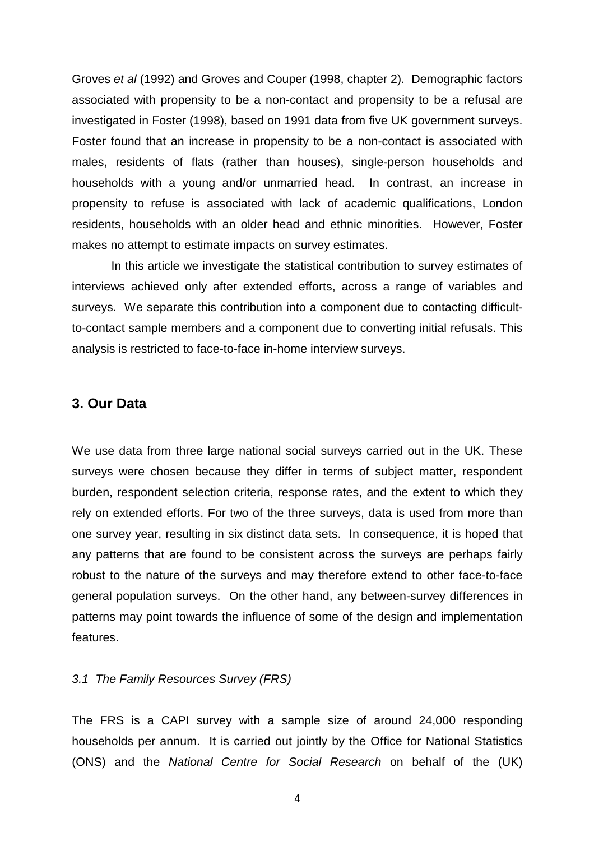Groves et al (1992) and Groves and Couper (1998, chapter 2). Demographic factors associated with propensity to be a non-contact and propensity to be a refusal are investigated in Foster (1998), based on 1991 data from five UK government surveys. Foster found that an increase in propensity to be a non-contact is associated with males, residents of flats (rather than houses), single-person households and households with a young and/or unmarried head. In contrast, an increase in propensity to refuse is associated with lack of academic qualifications, London residents, households with an older head and ethnic minorities. However, Foster makes no attempt to estimate impacts on survey estimates.

 In this article we investigate the statistical contribution to survey estimates of interviews achieved only after extended efforts, across a range of variables and surveys. We separate this contribution into a component due to contacting difficultto-contact sample members and a component due to converting initial refusals. This analysis is restricted to face-to-face in-home interview surveys.

# **3. Our Data**

We use data from three large national social surveys carried out in the UK. These surveys were chosen because they differ in terms of subject matter, respondent burden, respondent selection criteria, response rates, and the extent to which they rely on extended efforts. For two of the three surveys, data is used from more than one survey year, resulting in six distinct data sets. In consequence, it is hoped that any patterns that are found to be consistent across the surveys are perhaps fairly robust to the nature of the surveys and may therefore extend to other face-to-face general population surveys. On the other hand, any between-survey differences in patterns may point towards the influence of some of the design and implementation features.

#### 3.1 The Family Resources Survey (FRS)

The FRS is a CAPI survey with a sample size of around 24,000 responding households per annum. It is carried out jointly by the Office for National Statistics (ONS) and the National Centre for Social Research on behalf of the (UK)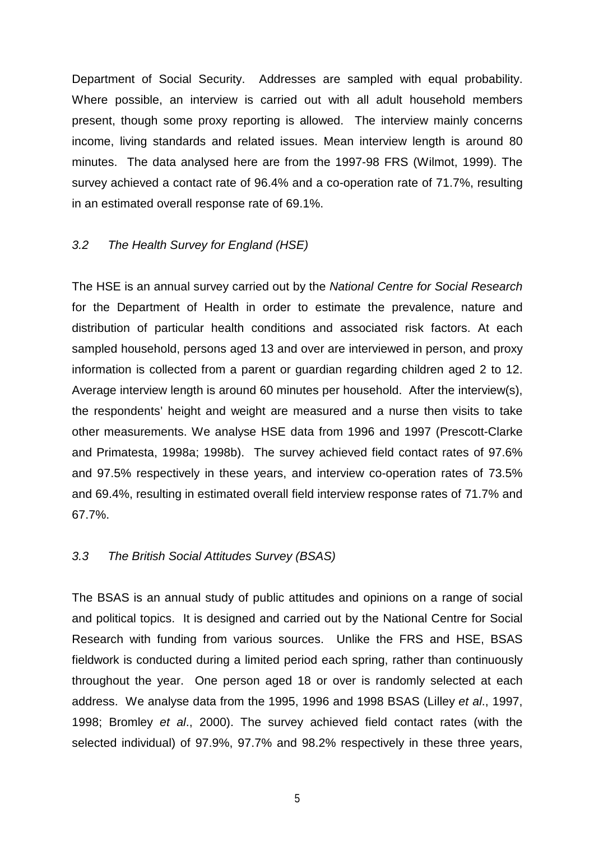Department of Social Security. Addresses are sampled with equal probability. Where possible, an interview is carried out with all adult household members present, though some proxy reporting is allowed. The interview mainly concerns income, living standards and related issues. Mean interview length is around 80 minutes. The data analysed here are from the 1997-98 FRS (Wilmot, 1999). The survey achieved a contact rate of 96.4% and a co-operation rate of 71.7%, resulting in an estimated overall response rate of 69.1%.

# 3.2 The Health Survey for England (HSE)

The HSE is an annual survey carried out by the National Centre for Social Research for the Department of Health in order to estimate the prevalence, nature and distribution of particular health conditions and associated risk factors. At each sampled household, persons aged 13 and over are interviewed in person, and proxy information is collected from a parent or guardian regarding children aged 2 to 12. Average interview length is around 60 minutes per household. After the interview(s), the respondents' height and weight are measured and a nurse then visits to take other measurements. We analyse HSE data from 1996 and 1997 (Prescott-Clarke and Primatesta, 1998a; 1998b). The survey achieved field contact rates of 97.6% and 97.5% respectively in these years, and interview co-operation rates of 73.5% and 69.4%, resulting in estimated overall field interview response rates of 71.7% and 67.7%.

## 3.3 The British Social Attitudes Survey (BSAS)

The BSAS is an annual study of public attitudes and opinions on a range of social and political topics. It is designed and carried out by the National Centre for Social Research with funding from various sources. Unlike the FRS and HSE, BSAS fieldwork is conducted during a limited period each spring, rather than continuously throughout the year. One person aged 18 or over is randomly selected at each address. We analyse data from the 1995, 1996 and 1998 BSAS (Lilley et al., 1997, 1998; Bromley et al., 2000). The survey achieved field contact rates (with the selected individual) of 97.9%, 97.7% and 98.2% respectively in these three years,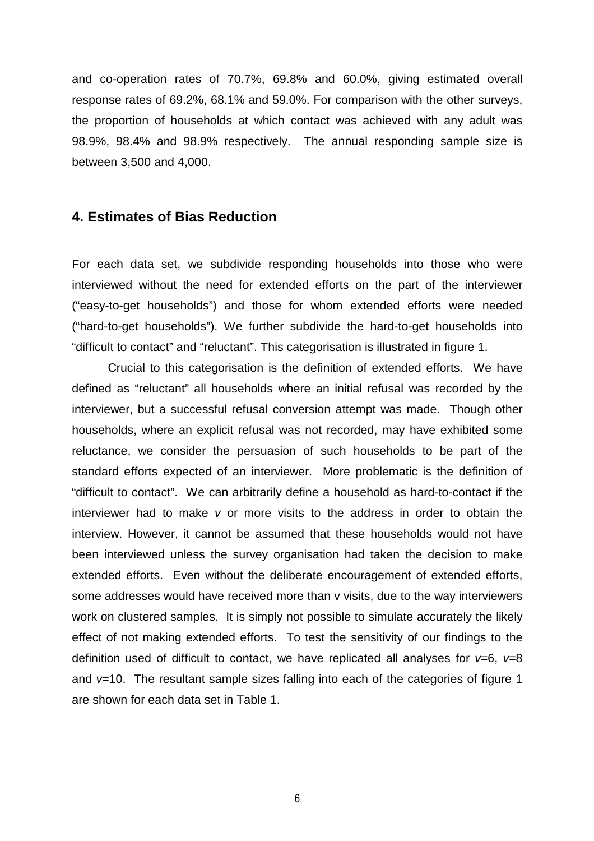and co-operation rates of 70.7%, 69.8% and 60.0%, giving estimated overall response rates of 69.2%, 68.1% and 59.0%. For comparison with the other surveys, the proportion of households at which contact was achieved with any adult was 98.9%, 98.4% and 98.9% respectively. The annual responding sample size is between 3,500 and 4,000.

## **4. Estimates of Bias Reduction**

For each data set, we subdivide responding households into those who were interviewed without the need for extended efforts on the part of the interviewer ("easy-to-get households") and those for whom extended efforts were needed ("hard-to-get households"). We further subdivide the hard-to-get households into "difficult to contact" and "reluctant". This categorisation is illustrated in figure 1.

Crucial to this categorisation is the definition of extended efforts. We have defined as "reluctant" all households where an initial refusal was recorded by the interviewer, but a successful refusal conversion attempt was made. Though other households, where an explicit refusal was not recorded, may have exhibited some reluctance, we consider the persuasion of such households to be part of the standard efforts expected of an interviewer. More problematic is the definition of "difficult to contact". We can arbitrarily define a household as hard-to-contact if the interviewer had to make v or more visits to the address in order to obtain the interview. However, it cannot be assumed that these households would not have been interviewed unless the survey organisation had taken the decision to make extended efforts. Even without the deliberate encouragement of extended efforts, some addresses would have received more than v visits, due to the way interviewers work on clustered samples. It is simply not possible to simulate accurately the likely effect of not making extended efforts. To test the sensitivity of our findings to the definition used of difficult to contact, we have replicated all analyses for  $v=6$ ,  $v=8$ and  $v=10$ . The resultant sample sizes falling into each of the categories of figure 1 are shown for each data set in Table 1.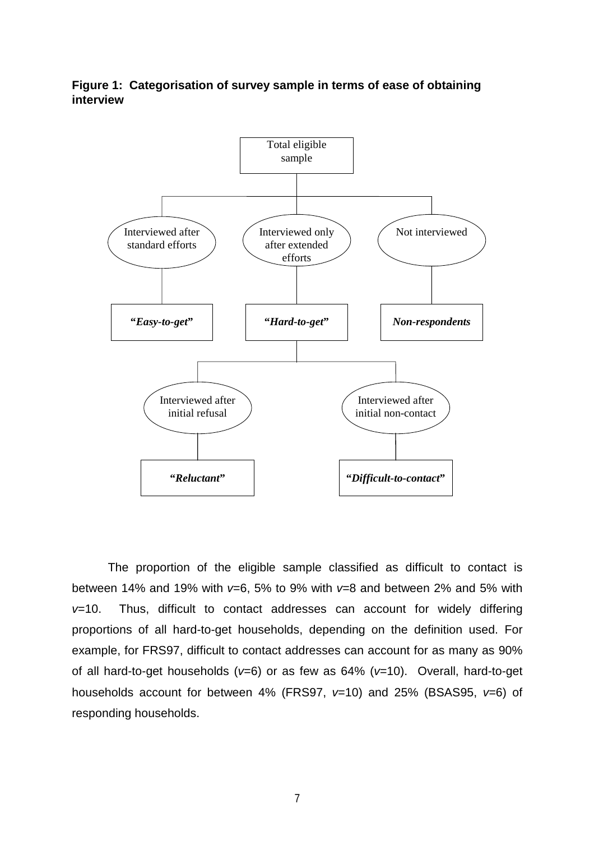**Figure 1: Categorisation of survey sample in terms of ease of obtaining interview**



The proportion of the eligible sample classified as difficult to contact is between 14% and 19% with  $v=6$ , 5% to 9% with  $v=8$  and between 2% and 5% with  $v=10$ . Thus, difficult to contact addresses can account for widely differing proportions of all hard-to-get households, depending on the definition used. For example, for FRS97, difficult to contact addresses can account for as many as 90% of all hard-to-get households ( $v=6$ ) or as few as 64% ( $v=10$ ). Overall, hard-to-get households account for between 4% (FRS97,  $v=10$ ) and 25% (BSAS95,  $v=6$ ) of responding households.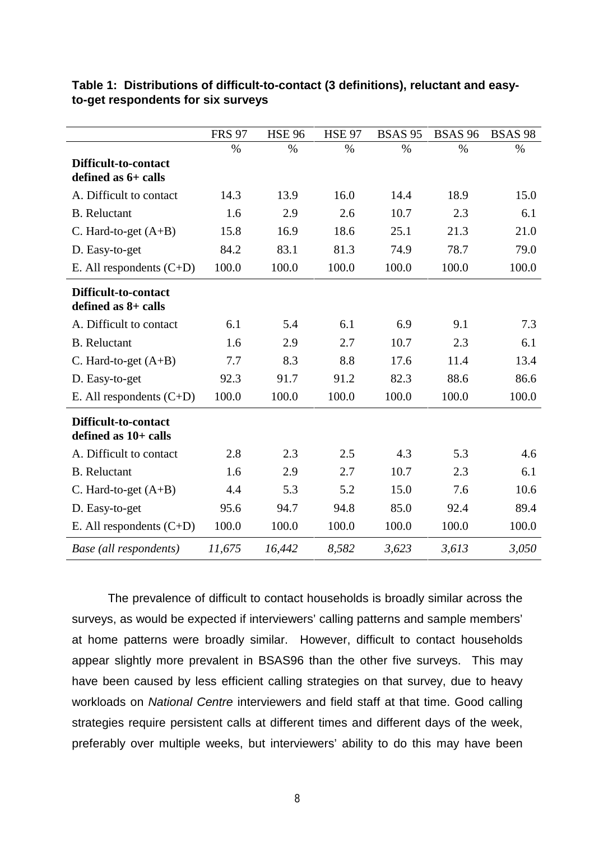|                                              | <b>FRS 97</b> | <b>HSE 96</b> | <b>HSE 97</b> | <b>BSAS 95</b> | <b>BSAS 96</b> | <b>BSAS 98</b> |
|----------------------------------------------|---------------|---------------|---------------|----------------|----------------|----------------|
|                                              | $\%$          | $\%$          | $\%$          | $\%$           | $\%$           | $\%$           |
| Difficult-to-contact<br>defined as 6+ calls  |               |               |               |                |                |                |
| A. Difficult to contact                      | 14.3          | 13.9          | 16.0          | 14.4           | 18.9           | 15.0           |
| <b>B.</b> Reluctant                          | 1.6           | 2.9           | 2.6           | 10.7           | 2.3            | 6.1            |
| C. Hard-to-get (A+B)                         | 15.8          | 16.9          | 18.6          | 25.1           | 21.3           | 21.0           |
| D. Easy-to-get                               | 84.2          | 83.1          | 81.3          | 74.9           | 78.7           | 79.0           |
| E. All respondents $(C+D)$                   | 100.0         | 100.0         | 100.0         | 100.0          | 100.0          | 100.0          |
| Difficult-to-contact<br>defined as 8+ calls  |               |               |               |                |                |                |
| A. Difficult to contact                      | 6.1           | 5.4           | 6.1           | 6.9            | 9.1            | 7.3            |
| <b>B.</b> Reluctant                          | 1.6           | 2.9           | 2.7           | 10.7           | 2.3            | 6.1            |
| C. Hard-to-get $(A+B)$                       | 7.7           | 8.3           | 8.8           | 17.6           | 11.4           | 13.4           |
| D. Easy-to-get                               | 92.3          | 91.7          | 91.2          | 82.3           | 88.6           | 86.6           |
| E. All respondents $(C+D)$                   | 100.0         | 100.0         | 100.0         | 100.0          | 100.0          | 100.0          |
| Difficult-to-contact<br>defined as 10+ calls |               |               |               |                |                |                |
| A. Difficult to contact                      | 2.8           | 2.3           | 2.5           | 4.3            | 5.3            | 4.6            |
| <b>B.</b> Reluctant                          | 1.6           | 2.9           | 2.7           | 10.7           | 2.3            | 6.1            |
| C. Hard-to-get $(A+B)$                       | 4.4           | 5.3           | 5.2           | 15.0           | 7.6            | 10.6           |
| D. Easy-to-get                               | 95.6          | 94.7          | 94.8          | 85.0           | 92.4           | 89.4           |
| E. All respondents $(C+D)$                   | 100.0         | 100.0         | 100.0         | 100.0          | 100.0          | 100.0          |
| Base (all respondents)                       | 11,675        | 16,442        | 8,582         | 3,623          | 3,613          | 3,050          |

## **Table 1: Distributions of difficult-to-contact (3 definitions), reluctant and easyto-get respondents for six surveys**

The prevalence of difficult to contact households is broadly similar across the surveys, as would be expected if interviewers' calling patterns and sample members' at home patterns were broadly similar. However, difficult to contact households appear slightly more prevalent in BSAS96 than the other five surveys. This may have been caused by less efficient calling strategies on that survey, due to heavy workloads on National Centre interviewers and field staff at that time. Good calling strategies require persistent calls at different times and different days of the week, preferably over multiple weeks, but interviewers' ability to do this may have been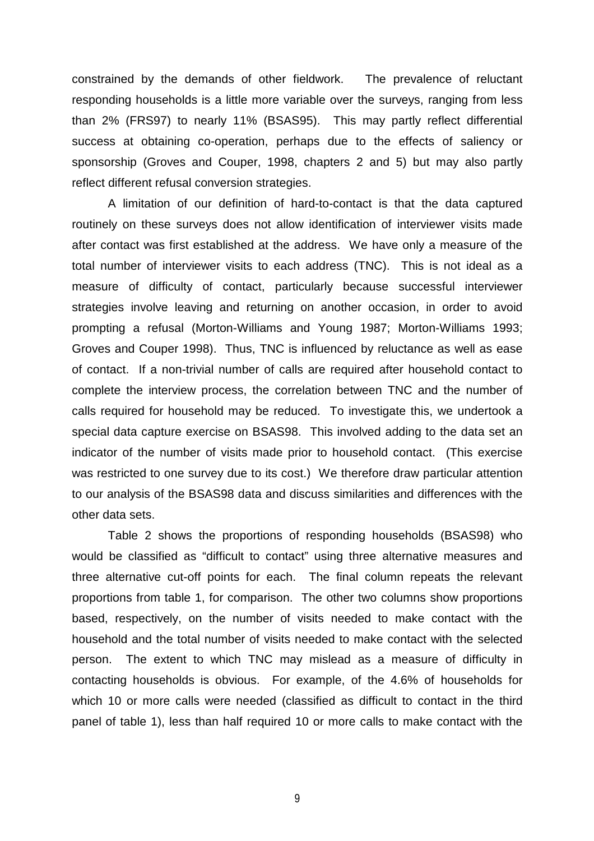constrained by the demands of other fieldwork. The prevalence of reluctant responding households is a little more variable over the surveys, ranging from less than 2% (FRS97) to nearly 11% (BSAS95). This may partly reflect differential success at obtaining co-operation, perhaps due to the effects of saliency or sponsorship (Groves and Couper, 1998, chapters 2 and 5) but may also partly reflect different refusal conversion strategies.

A limitation of our definition of hard-to-contact is that the data captured routinely on these surveys does not allow identification of interviewer visits made after contact was first established at the address. We have only a measure of the total number of interviewer visits to each address (TNC). This is not ideal as a measure of difficulty of contact, particularly because successful interviewer strategies involve leaving and returning on another occasion, in order to avoid prompting a refusal (Morton-Williams and Young 1987; Morton-Williams 1993; Groves and Couper 1998). Thus, TNC is influenced by reluctance as well as ease of contact. If a non-trivial number of calls are required after household contact to complete the interview process, the correlation between TNC and the number of calls required for household may be reduced. To investigate this, we undertook a special data capture exercise on BSAS98. This involved adding to the data set an indicator of the number of visits made prior to household contact. (This exercise was restricted to one survey due to its cost.) We therefore draw particular attention to our analysis of the BSAS98 data and discuss similarities and differences with the other data sets.

Table 2 shows the proportions of responding households (BSAS98) who would be classified as "difficult to contact" using three alternative measures and three alternative cut-off points for each. The final column repeats the relevant proportions from table 1, for comparison. The other two columns show proportions based, respectively, on the number of visits needed to make contact with the household and the total number of visits needed to make contact with the selected person. The extent to which TNC may mislead as a measure of difficulty in contacting households is obvious. For example, of the 4.6% of households for which 10 or more calls were needed (classified as difficult to contact in the third panel of table 1), less than half required 10 or more calls to make contact with the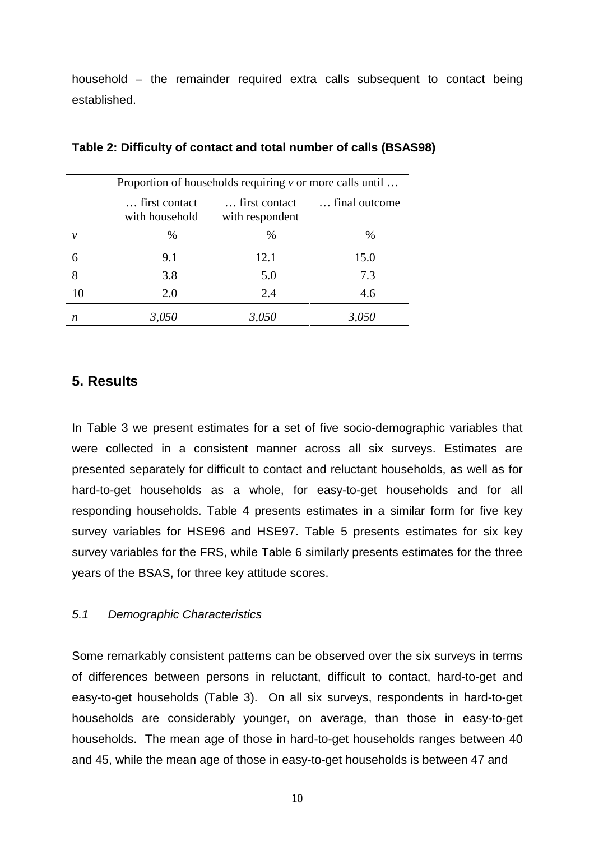household – the remainder required extra calls subsequent to contact being established.

| Proportion of households requiring $\nu$ or more calls until |                                 |                                  |               |  |  |  |  |  |
|--------------------------------------------------------------|---------------------------------|----------------------------------|---------------|--|--|--|--|--|
|                                                              | first contact<br>with household | first contact<br>with respondent | final outcome |  |  |  |  |  |
| v                                                            | %                               | %                                | %             |  |  |  |  |  |
| 6                                                            | 9.1                             | 12.1                             | 15.0          |  |  |  |  |  |
| 8                                                            | 3.8                             | 5.0                              | 7.3           |  |  |  |  |  |
| 10                                                           | 2.0                             | 2.4                              | 4.6           |  |  |  |  |  |
| n                                                            | 3,050                           | 3,050                            | 3,050         |  |  |  |  |  |

### **Table 2: Difficulty of contact and total number of calls (BSAS98)**

# **5. Results**

In Table 3 we present estimates for a set of five socio-demographic variables that were collected in a consistent manner across all six surveys. Estimates are presented separately for difficult to contact and reluctant households, as well as for hard-to-get households as a whole, for easy-to-get households and for all responding households. Table 4 presents estimates in a similar form for five key survey variables for HSE96 and HSE97. Table 5 presents estimates for six key survey variables for the FRS, while Table 6 similarly presents estimates for the three years of the BSAS, for three key attitude scores.

## 5.1 Demographic Characteristics

Some remarkably consistent patterns can be observed over the six surveys in terms of differences between persons in reluctant, difficult to contact, hard-to-get and easy-to-get households (Table 3). On all six surveys, respondents in hard-to-get households are considerably younger, on average, than those in easy-to-get households. The mean age of those in hard-to-get households ranges between 40 and 45, while the mean age of those in easy-to-get households is between 47 and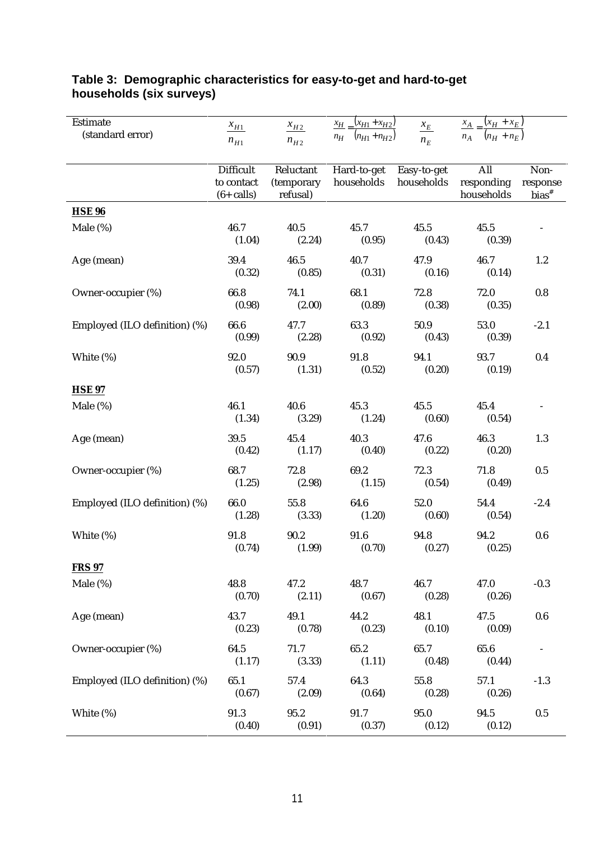| Estimate                      | $x_{H1}$         | $x_{H2}$       | $\frac{x_{H}}{x_{H1}+x_{H2}}$ | $\frac{\mathcal{X}_E}{\Box E}$ | $\frac{x_A}{x_H} = \frac{(x_H + x_E)}{x_H}$ |          |
|-------------------------------|------------------|----------------|-------------------------------|--------------------------------|---------------------------------------------|----------|
| (standard error)              | $n_{H1}$         | $n_{H2}$       | $n_H$ $(n_{H1} + n_{H2})$     | $n_E$                          | $n_A$ $(n_H + n_E)$                         |          |
|                               |                  |                |                               |                                |                                             |          |
|                               | <b>Difficult</b> | Reluctant      | Hard-to-get                   | Easy-to-get                    | All                                         | Non-     |
|                               | to contact       | (temporary     | households                    | households                     | responding                                  | response |
|                               | $(6 + calls)$    | refusal)       |                               |                                | households                                  | $bias^*$ |
| <b>HSE 96</b>                 |                  |                |                               |                                |                                             |          |
| Male $(\%)$                   | 46.7             | 40.5           | 45.7                          | 45.5                           | 45.5                                        |          |
|                               | (1.04)           | (2.24)         | (0.95)                        | (0.43)                         | (0.39)                                      |          |
| Age (mean)                    | 39.4             | 46.5           | 40.7                          | 47.9                           | 46.7                                        | 1.2      |
|                               | (0.32)           | (0.85)         | (0.31)                        | (0.16)                         | (0.14)                                      |          |
| Owner-occupier (%)            | 66.8             | 74.1           | 68.1                          | 72.8                           | 72.0                                        | 0.8      |
|                               | (0.98)           | (2.00)         | (0.89)                        | (0.38)                         | (0.35)                                      |          |
|                               |                  |                |                               |                                |                                             |          |
| Employed (ILO definition) (%) | 66.6<br>(0.99)   | 47.7<br>(2.28) | 63.3<br>(0.92)                | 50.9<br>(0.43)                 | 53.0<br>(0.39)                              | $-2.1$   |
|                               |                  |                |                               |                                |                                             |          |
| White (%)                     | 92.0             | 90.9           | 91.8                          | 94.1                           | 93.7                                        | 0.4      |
|                               | (0.57)           | (1.31)         | (0.52)                        | (0.20)                         | (0.19)                                      |          |
| <b>HSE 97</b>                 |                  |                |                               |                                |                                             |          |
| Male $(\%)$                   | 46.1             | 40.6           | 45.3                          | 45.5                           | 45.4                                        |          |
|                               | (1.34)           | (3.29)         | (1.24)                        | (0.60)                         | (0.54)                                      |          |
| Age (mean)                    | 39.5             | 45.4           | 40.3                          | 47.6                           | 46.3                                        | 1.3      |
|                               | (0.42)           | (1.17)         | (0.40)                        | (0.22)                         | (0.20)                                      |          |
|                               | 68.7             | 72.8           | 69.2                          | 72.3                           |                                             |          |
| Owner-occupier (%)            | (1.25)           | (2.98)         | (1.15)                        | (0.54)                         | 71.8<br>(0.49)                              | 0.5      |
|                               |                  |                |                               |                                |                                             |          |
| Employed (ILO definition) (%) | 66.0             | 55.8           | 64.6                          | 52.0                           | 54.4                                        | $-2.4$   |
|                               | (1.28)           | (3.33)         | (1.20)                        | (0.60)                         | (0.54)                                      |          |
| White (%)                     | 91.8             | 90.2           | 91.6                          | 94.8                           | 94.2                                        | $0.6\,$  |
|                               | (0.74)           | (1.99)         | (0.70)                        | (0.27)                         | (0.25)                                      |          |
| <b>FRS 97</b>                 |                  |                |                               |                                |                                             |          |
| Male $(\%)$                   | 48.8             | 47.2           | 48.7                          | 46.7                           | 47.0                                        | $-0.3$   |
|                               | (0.70)           | (2.11)         | (0.67)                        | (0.28)                         | (0.26)                                      |          |
| Age (mean)                    | 43.7             | 49.1           | 44.2                          | 48.1                           | 47.5                                        | $0.6\,$  |
|                               | (0.23)           | (0.78)         | (0.23)                        | (0.10)                         | (0.09)                                      |          |
|                               |                  |                |                               |                                |                                             |          |
| Owner-occupier (%)            | 64.5<br>(1.17)   | 71.7<br>(3.33) | 65.2<br>(1.11)                | 65.7<br>(0.48)                 | 65.6<br>(0.44)                              | $\equiv$ |
|                               |                  |                |                               |                                |                                             |          |
| Employed (ILO definition) (%) | 65.1             | 57.4           | 64.3                          | 55.8                           | 57.1                                        | $-1.3$   |
|                               | (0.67)           | (2.09)         | (0.64)                        | (0.28)                         | (0.26)                                      |          |
| White (%)                     | 91.3             | 95.2           | 91.7                          | 95.0                           | 94.5                                        | $0.5\,$  |
|                               | (0.40)           | (0.91)         | (0.37)                        | (0.12)                         | (0.12)                                      |          |

# **Table 3: Demographic characteristics for easy-to-get and hard-to-get households (six surveys)**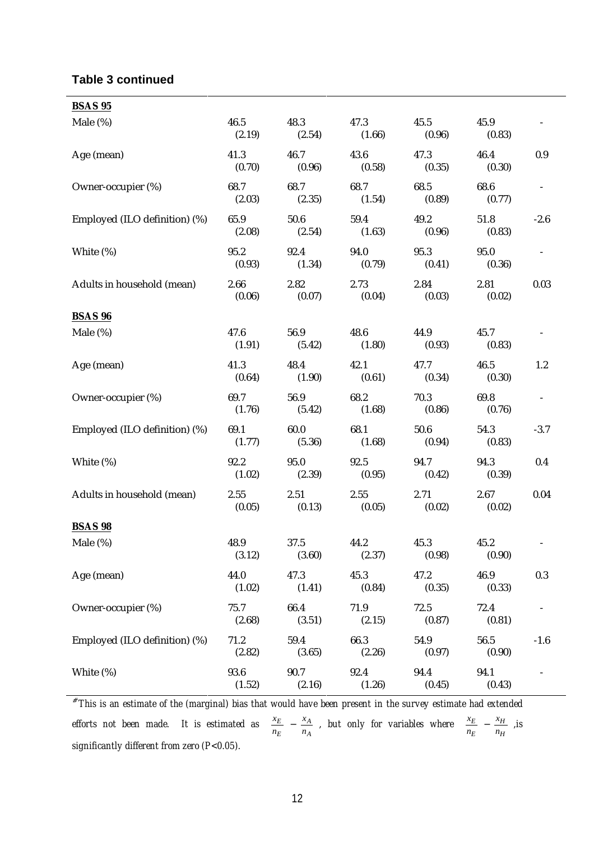## **Table 3 continued**

| <b>BSAS 95</b>                |                |                |                |                |                |                          |
|-------------------------------|----------------|----------------|----------------|----------------|----------------|--------------------------|
| Male (%)                      | 46.5<br>(2.19) | 48.3<br>(2.54) | 47.3<br>(1.66) | 45.5<br>(0.96) | 45.9<br>(0.83) |                          |
| Age (mean)                    | 41.3<br>(0.70) | 46.7<br>(0.96) | 43.6<br>(0.58) | 47.3<br>(0.35) | 46.4<br>(0.30) | 0.9                      |
| Owner-occupier (%)            | 68.7<br>(2.03) | 68.7<br>(2.35) | 68.7<br>(1.54) | 68.5<br>(0.89) | 68.6<br>(0.77) | $\overline{\phantom{a}}$ |
| Employed (ILO definition) (%) | 65.9<br>(2.08) | 50.6<br>(2.54) | 59.4<br>(1.63) | 49.2<br>(0.96) | 51.8<br>(0.83) | $-2.6$                   |
| White (%)                     | 95.2<br>(0.93) | 92.4<br>(1.34) | 94.0<br>(0.79) | 95.3<br>(0.41) | 95.0<br>(0.36) |                          |
| Adults in household (mean)    | 2.66<br>(0.06) | 2.82<br>(0.07) | 2.73<br>(0.04) | 2.84<br>(0.03) | 2.81<br>(0.02) | 0.03                     |
| <b>BSAS 96</b>                |                |                |                |                |                |                          |
| Male (%)                      | 47.6<br>(1.91) | 56.9<br>(5.42) | 48.6<br>(1.80) | 44.9<br>(0.93) | 45.7<br>(0.83) |                          |
| Age (mean)                    | 41.3<br>(0.64) | 48.4<br>(1.90) | 42.1<br>(0.61) | 47.7<br>(0.34) | 46.5<br>(0.30) | 1.2                      |
| Owner-occupier (%)            | 69.7<br>(1.76) | 56.9<br>(5.42) | 68.2<br>(1.68) | 70.3<br>(0.86) | 69.8<br>(0.76) | $\overline{\phantom{a}}$ |
| Employed (ILO definition) (%) | 69.1<br>(1.77) | 60.0<br>(5.36) | 68.1<br>(1.68) | 50.6<br>(0.94) | 54.3<br>(0.83) | $-3.7$                   |
| White (%)                     | 92.2<br>(1.02) | 95.0<br>(2.39) | 92.5<br>(0.95) | 94.7<br>(0.42) | 94.3<br>(0.39) | 0.4                      |
| Adults in household (mean)    | 2.55<br>(0.05) | 2.51<br>(0.13) | 2.55<br>(0.05) | 2.71<br>(0.02) | 2.67<br>(0.02) | 0.04                     |
| <b>BSAS 98</b>                |                |                |                |                |                |                          |
| Male (%)                      | 48.9<br>(3.12) | 37.5<br>(3.60) | 44.2<br>(2.37) | 45.3<br>(0.98) | 45.2<br>(0.90) |                          |
| Age (mean)                    | 44.0<br>(1.02) | 47.3<br>(1.41) | 45.3<br>(0.84) | 47.2<br>(0.35) | 46.9<br>(0.33) | 0.3                      |
| Owner-occupier (%)            | 75.7<br>(2.68) | 66.4<br>(3.51) | 71.9<br>(2.15) | 72.5<br>(0.87) | 72.4<br>(0.81) |                          |
| Employed (ILO definition) (%) | 71.2<br>(2.82) | 59.4<br>(3.65) | 66.3<br>(2.26) | 54.9<br>(0.97) | 56.5<br>(0.90) | $-1.6$                   |
| White (%)                     | 93.6<br>(1.52) | 90.7<br>(2.16) | 92.4<br>(1.26) | 94.4<br>(0.45) | 94.1<br>(0.43) |                          |

# *This is an estimate of the (marginal) bias that would have been present in the survey estimate had extended efforts not been made.* It is estimated as  $\frac{\lambda_E}{n_E}$   $\left[-\frac{\lambda_A}{n_A}\right]$  $\overline{)}$ Ì I  $\Bigg) - \Bigg($  $\overline{1}$ Ì ╿ ∖ ſ *A A E E n x*  $\left(\frac{x_E}{n_E}\right) - \left(\frac{x_A}{n_A}\right)$ , but only for variables where  $\left(\frac{x_E}{n_E}\right) - \left(\frac{x_H}{n_H}\right)$  $\overline{1}$ Ì I l  $\left| - \right|$  $\overline{)}$ Ì I l ſ *H H E E n x*  $\left(\frac{x_E}{n_E}\right) - \left(\frac{x_H}{n_H}\right)$ , is *significantly different from zero (P<0.05).*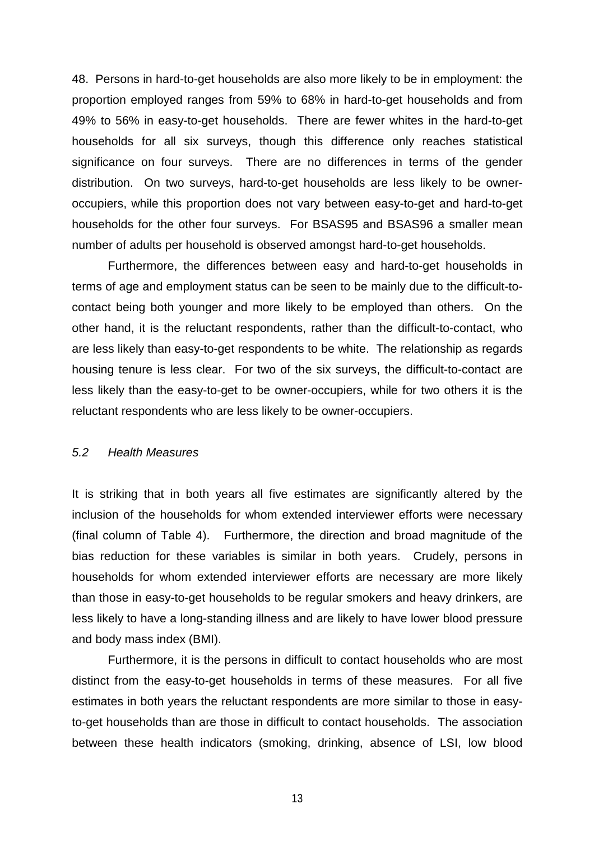48. Persons in hard-to-get households are also more likely to be in employment: the proportion employed ranges from 59% to 68% in hard-to-get households and from 49% to 56% in easy-to-get households. There are fewer whites in the hard-to-get households for all six surveys, though this difference only reaches statistical significance on four surveys. There are no differences in terms of the gender distribution. On two surveys, hard-to-get households are less likely to be owneroccupiers, while this proportion does not vary between easy-to-get and hard-to-get households for the other four surveys. For BSAS95 and BSAS96 a smaller mean number of adults per household is observed amongst hard-to-get households.

Furthermore, the differences between easy and hard-to-get households in terms of age and employment status can be seen to be mainly due to the difficult-tocontact being both younger and more likely to be employed than others. On the other hand, it is the reluctant respondents, rather than the difficult-to-contact, who are less likely than easy-to-get respondents to be white. The relationship as regards housing tenure is less clear. For two of the six surveys, the difficult-to-contact are less likely than the easy-to-get to be owner-occupiers, while for two others it is the reluctant respondents who are less likely to be owner-occupiers.

## 5.2 Health Measures

It is striking that in both years all five estimates are significantly altered by the inclusion of the households for whom extended interviewer efforts were necessary (final column of Table 4). Furthermore, the direction and broad magnitude of the bias reduction for these variables is similar in both years. Crudely, persons in households for whom extended interviewer efforts are necessary are more likely than those in easy-to-get households to be regular smokers and heavy drinkers, are less likely to have a long-standing illness and are likely to have lower blood pressure and body mass index (BMI).

Furthermore, it is the persons in difficult to contact households who are most distinct from the easy-to-get households in terms of these measures. For all five estimates in both years the reluctant respondents are more similar to those in easyto-get households than are those in difficult to contact households. The association between these health indicators (smoking, drinking, absence of LSI, low blood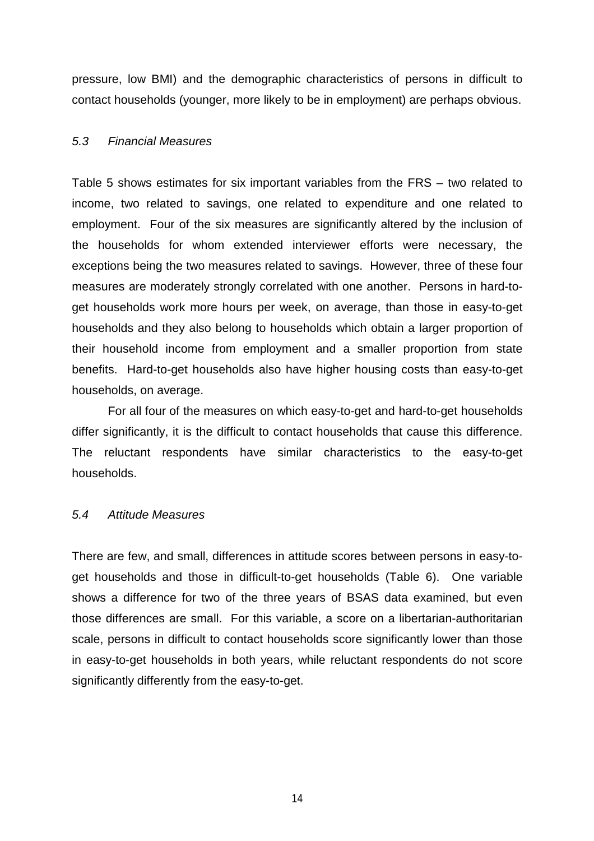pressure, low BMI) and the demographic characteristics of persons in difficult to contact households (younger, more likely to be in employment) are perhaps obvious.

## 5.3 Financial Measures

Table 5 shows estimates for six important variables from the FRS – two related to income, two related to savings, one related to expenditure and one related to employment. Four of the six measures are significantly altered by the inclusion of the households for whom extended interviewer efforts were necessary, the exceptions being the two measures related to savings. However, three of these four measures are moderately strongly correlated with one another. Persons in hard-toget households work more hours per week, on average, than those in easy-to-get households and they also belong to households which obtain a larger proportion of their household income from employment and a smaller proportion from state benefits. Hard-to-get households also have higher housing costs than easy-to-get households, on average.

For all four of the measures on which easy-to-get and hard-to-get households differ significantly, it is the difficult to contact households that cause this difference. The reluctant respondents have similar characteristics to the easy-to-get households.

## 5.4 Attitude Measures

There are few, and small, differences in attitude scores between persons in easy-toget households and those in difficult-to-get households (Table 6). One variable shows a difference for two of the three years of BSAS data examined, but even those differences are small. For this variable, a score on a libertarian-authoritarian scale, persons in difficult to contact households score significantly lower than those in easy-to-get households in both years, while reluctant respondents do not score significantly differently from the easy-to-get.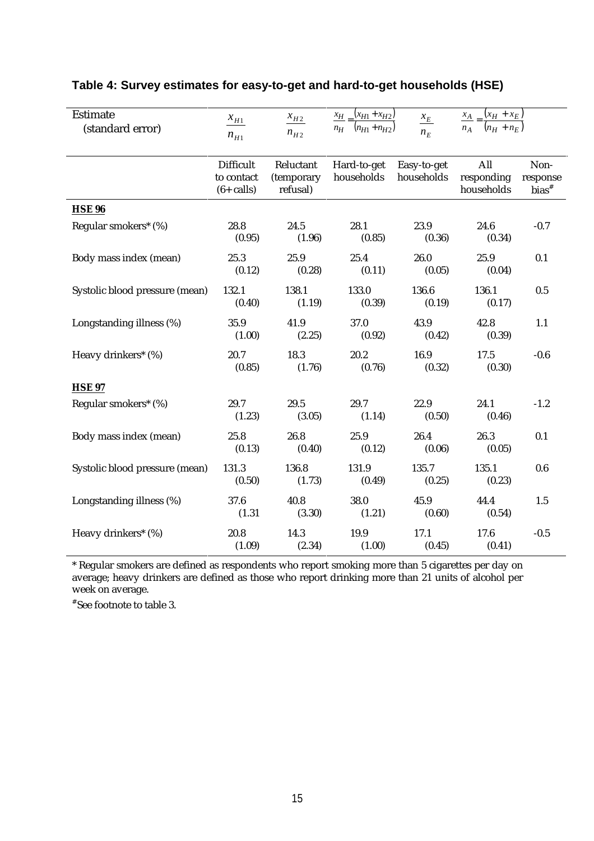| <b>Estimate</b><br>(standard error) | $x_{H1}$<br>$n_{H1}$                            | $\frac{x_{H2}}{x_{H2}}$<br>$n_{H2}$ | $x_{H}$ $(x_{H1} + x_{H2})$<br>$n_H$ $(n_{H1} + n_{H2})$ | $x_E$<br>$n_E$            | $\frac{x_A}{x_H} - \frac{(x_H + x_E)}{x_H}$<br>$n_A$ $(n_H + n_E)$ |                                         |
|-------------------------------------|-------------------------------------------------|-------------------------------------|----------------------------------------------------------|---------------------------|--------------------------------------------------------------------|-----------------------------------------|
|                                     | <b>Difficult</b><br>to contact<br>$(6 + calls)$ | Reluctant<br>(temporary<br>refusal) | Hard-to-get<br>households                                | Easy-to-get<br>households | All<br>responding<br>households                                    | Non-<br>response<br>$bias$ <sup>#</sup> |
| <b>HSE 96</b>                       |                                                 |                                     |                                                          |                           |                                                                    |                                         |
| Regular smokers* (%)                | 28.8<br>(0.95)                                  | 24.5<br>(1.96)                      | 28.1<br>(0.85)                                           | 23.9<br>(0.36)            | 24.6<br>(0.34)                                                     | $-0.7$                                  |
| Body mass index (mean)              | 25.3<br>(0.12)                                  | 25.9<br>(0.28)                      | 25.4<br>(0.11)                                           | 26.0<br>(0.05)            | 25.9<br>(0.04)                                                     | 0.1                                     |
| Systolic blood pressure (mean)      | 132.1<br>(0.40)                                 | 138.1<br>(1.19)                     | 133.0<br>(0.39)                                          | 136.6<br>(0.19)           | 136.1<br>(0.17)                                                    | 0.5                                     |
| Longstanding illness (%)            | 35.9<br>(1.00)                                  | 41.9<br>(2.25)                      | 37.0<br>(0.92)                                           | 43.9<br>(0.42)            | 42.8<br>(0.39)                                                     | 1.1                                     |
| Heavy drinkers* (%)                 | 20.7<br>(0.85)                                  | 18.3<br>(1.76)                      | 20.2<br>(0.76)                                           | 16.9<br>(0.32)            | 17.5<br>(0.30)                                                     | $-0.6$                                  |
| <b>HSE 97</b>                       |                                                 |                                     |                                                          |                           |                                                                    |                                         |
| Regular smokers* (%)                | 29.7<br>(1.23)                                  | 29.5<br>(3.05)                      | 29.7<br>(1.14)                                           | 22.9<br>(0.50)            | 24.1<br>(0.46)                                                     | $-1.2$                                  |
| Body mass index (mean)              | 25.8<br>(0.13)                                  | 26.8<br>(0.40)                      | 25.9<br>(0.12)                                           | 26.4<br>(0.06)            | 26.3<br>(0.05)                                                     | 0.1                                     |
| Systolic blood pressure (mean)      | 131.3<br>(0.50)                                 | 136.8<br>(1.73)                     | 131.9<br>(0.49)                                          | 135.7<br>(0.25)           | 135.1<br>(0.23)                                                    | 0.6                                     |
| Longstanding illness (%)            | 37.6<br>(1.31)                                  | 40.8<br>(3.30)                      | 38.0<br>(1.21)                                           | 45.9<br>(0.60)            | 44.4<br>(0.54)                                                     | 1.5                                     |
| Heavy drinkers* (%)                 | 20.8<br>(1.09)                                  | 14.3<br>(2.34)                      | 19.9<br>(1.00)                                           | 17.1<br>(0.45)            | 17.6<br>(0.41)                                                     | $-0.5$                                  |

# **Table 4: Survey estimates for easy-to-get and hard-to-get households (HSE)**

\* Regular smokers are defined as respondents who report smoking more than 5 cigarettes per day on average; heavy drinkers are defined as those who report drinking more than 21 units of alcohol per week on average.

# See footnote to table 3.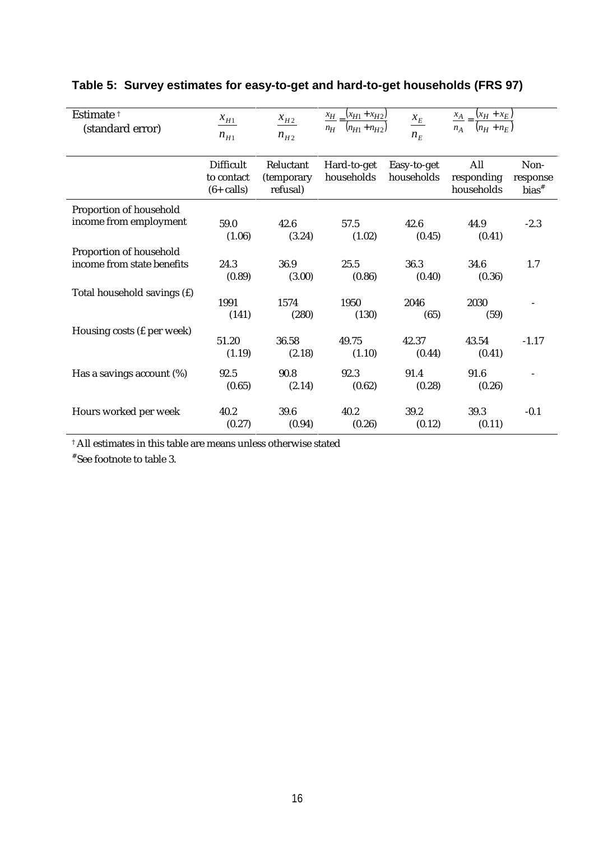| Estimate <sup>†</sup><br>(standard error)             | $x_{H1}$<br>$n_{H1}$                     | $x_{H2}$<br>$n_{H2}$                | $\frac{x_{H}}{x_{H}} - \frac{(x_{H1} + x_{H2})}{x_{H2}}$<br>$n_{H}$ $(n_{H1} + n_{H2})$ | $\frac{\mathcal{X}_E}{\mathcal{Y}}$<br>$n_E$ | $\frac{x_A}{n_A} = \frac{(x_H + x_E)}{(n_H + n_E)}$ |                                         |
|-------------------------------------------------------|------------------------------------------|-------------------------------------|-----------------------------------------------------------------------------------------|----------------------------------------------|-----------------------------------------------------|-----------------------------------------|
|                                                       | Difficult<br>to contact<br>$(6 + calls)$ | Reluctant<br>(temporary<br>refusal) | Hard-to-get<br>households                                                               | Easy-to-get<br>households                    | All<br>responding<br>households                     | Non-<br>response<br>$bias$ <sup>#</sup> |
| Proportion of household<br>income from employment     | 59.0<br>(1.06)                           | 42.6<br>(3.24)                      | 57.5<br>(1.02)                                                                          | 42.6<br>(0.45)                               | 44.9<br>(0.41)                                      | $-2.3$                                  |
| Proportion of household<br>income from state benefits | 24.3<br>(0.89)                           | 36.9<br>(3.00)                      | 25.5<br>(0.86)                                                                          | 36.3<br>(0.40)                               | 34.6<br>(0.36)                                      | 1.7                                     |
| Total household savings (f)                           | 1991<br>(141)                            | 1574<br>(280)                       | 1950<br>(130)                                                                           | 2046<br>(65)                                 | 2030<br>(59)                                        |                                         |
| Housing costs (£ per week)                            | 51.20<br>(1.19)                          | 36.58<br>(2.18)                     | 49.75<br>(1.10)                                                                         | 42.37<br>(0.44)                              | 43.54<br>(0.41)                                     | $-1.17$                                 |
| Has a savings account $(\%)$                          | 92.5<br>(0.65)                           | 90.8<br>(2.14)                      | 92.3<br>(0.62)                                                                          | 91.4<br>(0.28)                               | 91.6<br>(0.26)                                      |                                         |
| Hours worked per week                                 | 40.2<br>(0.27)                           | 39.6<br>(0.94)                      | 40.2<br>(0.26)                                                                          | 39.2<br>(0.12)                               | 39.3<br>(0.11)                                      | $-0.1$                                  |

# **Table 5: Survey estimates for easy-to-get and hard-to-get households (FRS 97)**

 $^\dagger$  All estimates in this table are means unless otherwise stated

# See footnote to table 3.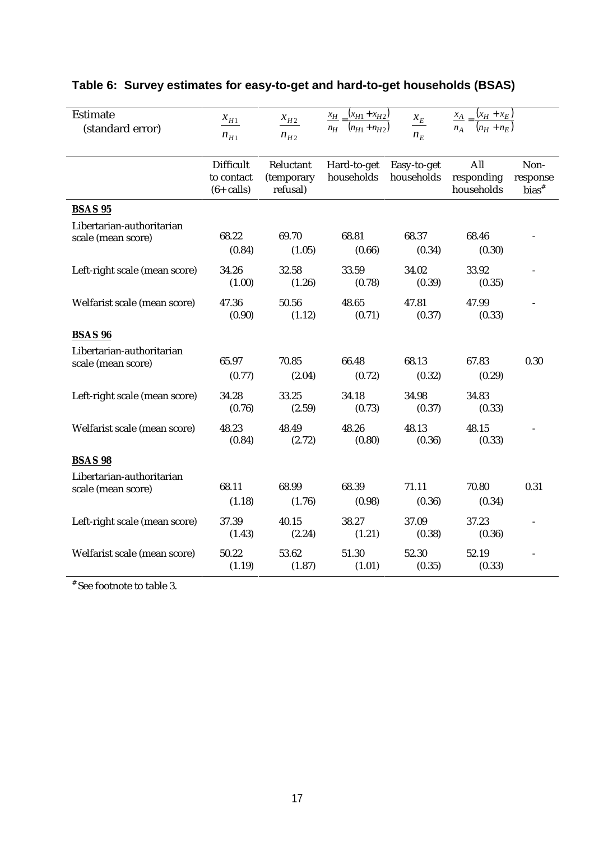| <b>Estimate</b><br>(standard error)             | $x_{H1}$<br>$n_{H1}$                            | $x_{H2}$<br>$n_{H2}$                | $\frac{x_{H}}{x_{H1}+x_{H2}}$<br>$n_{H}$ $(n_{H1} + n_{H2})$ | $x_E$<br>$n_E$            | $\frac{x_A}{x_H} - \frac{(x_H + x_E)}{x_H}$<br>$n_A = \frac{}{n_H + n_E}$ |                              |
|-------------------------------------------------|-------------------------------------------------|-------------------------------------|--------------------------------------------------------------|---------------------------|---------------------------------------------------------------------------|------------------------------|
|                                                 | <b>Difficult</b><br>to contact<br>$(6 + calls)$ | Reluctant<br>(temporary<br>refusal) | Hard-to-get<br>households                                    | Easy-to-get<br>households | All<br>responding<br>households                                           | Non-<br>response<br>$bias^*$ |
| <b>BSAS 95</b>                                  |                                                 |                                     |                                                              |                           |                                                                           |                              |
| Libertarian-authoritarian<br>scale (mean score) | 68.22<br>(0.84)                                 | 69.70<br>(1.05)                     | 68.81<br>(0.66)                                              | 68.37<br>(0.34)           | 68.46<br>(0.30)                                                           |                              |
| Left-right scale (mean score)                   | 34.26<br>(1.00)                                 | 32.58<br>(1.26)                     | 33.59<br>(0.78)                                              | 34.02<br>(0.39)           | 33.92<br>(0.35)                                                           |                              |
| Welfarist scale (mean score)                    | 47.36<br>(0.90)                                 | 50.56<br>(1.12)                     | 48.65<br>(0.71)                                              | 47.81<br>(0.37)           | 47.99<br>(0.33)                                                           |                              |
| <b>BSAS 96</b>                                  |                                                 |                                     |                                                              |                           |                                                                           |                              |
| Libertarian-authoritarian<br>scale (mean score) | 65.97<br>(0.77)                                 | 70.85<br>(2.04)                     | 66.48<br>(0.72)                                              | 68.13<br>(0.32)           | 67.83<br>(0.29)                                                           | 0.30                         |
| Left-right scale (mean score)                   | 34.28<br>(0.76)                                 | 33.25<br>(2.59)                     | 34.18<br>(0.73)                                              | 34.98<br>(0.37)           | 34.83<br>(0.33)                                                           |                              |
| Welfarist scale (mean score)                    | 48.23<br>(0.84)                                 | 48.49<br>(2.72)                     | 48.26<br>(0.80)                                              | 48.13<br>(0.36)           | 48.15<br>(0.33)                                                           |                              |
| <b>BSAS 98</b>                                  |                                                 |                                     |                                                              |                           |                                                                           |                              |
| Libertarian-authoritarian<br>scale (mean score) | 68.11<br>(1.18)                                 | 68.99<br>(1.76)                     | 68.39<br>(0.98)                                              | 71.11<br>(0.36)           | 70.80<br>(0.34)                                                           | 0.31                         |
| Left-right scale (mean score)                   | 37.39<br>(1.43)                                 | 40.15<br>(2.24)                     | 38.27<br>(1.21)                                              | 37.09<br>(0.38)           | 37.23<br>(0.36)                                                           |                              |
| Welfarist scale (mean score)                    | 50.22<br>(1.19)                                 | 53.62<br>(1.87)                     | 51.30<br>(1.01)                                              | 52.30<br>(0.35)           | 52.19<br>(0.33)                                                           |                              |

# **Table 6: Survey estimates for easy-to-get and hard-to-get households (BSAS)**

# See footnote to table 3.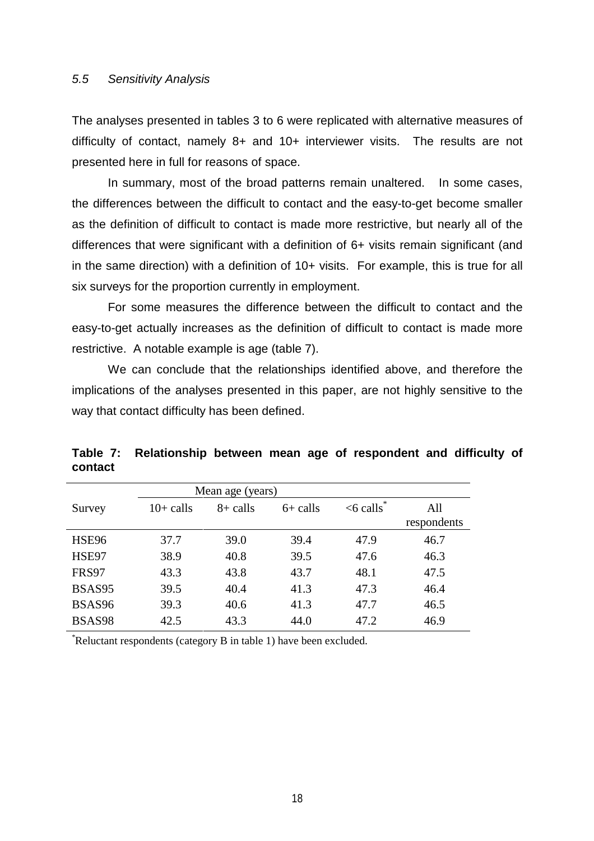### 5.5 Sensitivity Analysis

The analyses presented in tables 3 to 6 were replicated with alternative measures of difficulty of contact, namely 8+ and 10+ interviewer visits. The results are not presented here in full for reasons of space.

In summary, most of the broad patterns remain unaltered. In some cases, the differences between the difficult to contact and the easy-to-get become smaller as the definition of difficult to contact is made more restrictive, but nearly all of the differences that were significant with a definition of 6+ visits remain significant (and in the same direction) with a definition of 10+ visits. For example, this is true for all six surveys for the proportion currently in employment.

For some measures the difference between the difficult to contact and the easy-to-get actually increases as the definition of difficult to contact is made more restrictive. A notable example is age (table 7).

We can conclude that the relationships identified above, and therefore the implications of the analyses presented in this paper, are not highly sensitive to the way that contact difficulty has been defined.

|         | Table 7: Relationship between mean age of respondent and difficulty of |  |  |  |  |
|---------|------------------------------------------------------------------------|--|--|--|--|
| contact |                                                                        |  |  |  |  |

|              | Mean age (years) |             |            |             |                    |  |  |  |
|--------------|------------------|-------------|------------|-------------|--------------------|--|--|--|
| Survey       | $10+$ calls      | $8 +$ calls | $6+$ calls | $<$ 6 calls | All<br>respondents |  |  |  |
| <b>HSE96</b> | 37.7             | 39.0        | 39.4       | 47.9        | 46.7               |  |  |  |
| HSE97        | 38.9             | 40.8        | 39.5       | 47.6        | 46.3               |  |  |  |
| <b>FRS97</b> | 43.3             | 43.8        | 43.7       | 48.1        | 47.5               |  |  |  |
| BSAS95       | 39.5             | 40.4        | 41.3       | 47.3        | 46.4               |  |  |  |
| BSAS96       | 39.3             | 40.6        | 41.3       | 47.7        | 46.5               |  |  |  |
| BSAS98       | 42.5             | 43.3        | 44.0       | 47.2        | 46.9               |  |  |  |

\* Reluctant respondents (category B in table 1) have been excluded.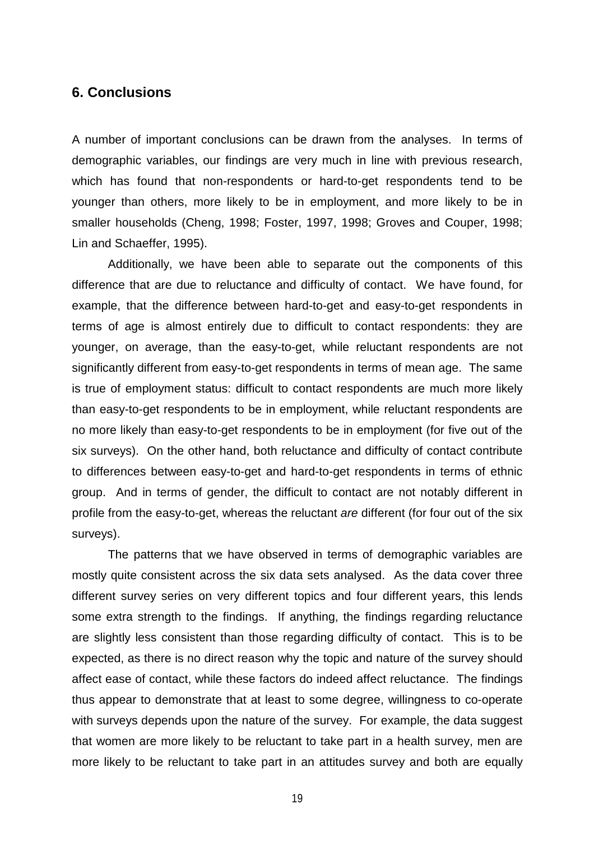# **6. Conclusions**

A number of important conclusions can be drawn from the analyses. In terms of demographic variables, our findings are very much in line with previous research, which has found that non-respondents or hard-to-get respondents tend to be younger than others, more likely to be in employment, and more likely to be in smaller households (Cheng, 1998; Foster, 1997, 1998; Groves and Couper, 1998; Lin and Schaeffer, 1995).

Additionally, we have been able to separate out the components of this difference that are due to reluctance and difficulty of contact. We have found, for example, that the difference between hard-to-get and easy-to-get respondents in terms of age is almost entirely due to difficult to contact respondents: they are younger, on average, than the easy-to-get, while reluctant respondents are not significantly different from easy-to-get respondents in terms of mean age. The same is true of employment status: difficult to contact respondents are much more likely than easy-to-get respondents to be in employment, while reluctant respondents are no more likely than easy-to-get respondents to be in employment (for five out of the six surveys). On the other hand, both reluctance and difficulty of contact contribute to differences between easy-to-get and hard-to-get respondents in terms of ethnic group. And in terms of gender, the difficult to contact are not notably different in profile from the easy-to-get, whereas the reluctant are different (for four out of the six surveys).

The patterns that we have observed in terms of demographic variables are mostly quite consistent across the six data sets analysed. As the data cover three different survey series on very different topics and four different years, this lends some extra strength to the findings. If anything, the findings regarding reluctance are slightly less consistent than those regarding difficulty of contact. This is to be expected, as there is no direct reason why the topic and nature of the survey should affect ease of contact, while these factors do indeed affect reluctance. The findings thus appear to demonstrate that at least to some degree, willingness to co-operate with surveys depends upon the nature of the survey. For example, the data suggest that women are more likely to be reluctant to take part in a health survey, men are more likely to be reluctant to take part in an attitudes survey and both are equally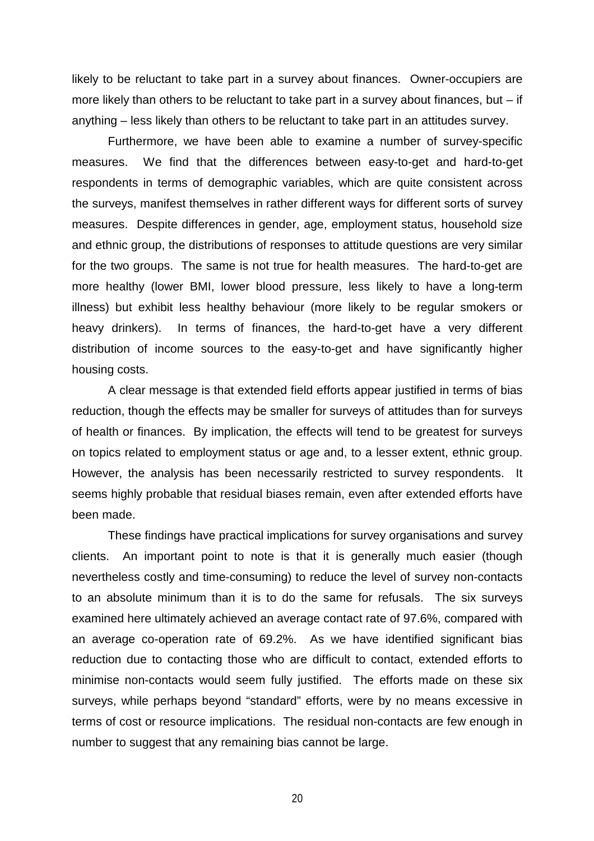likely to be reluctant to take part in a survey about finances. Owner-occupiers are more likely than others to be reluctant to take part in a survey about finances, but – if anything – less likely than others to be reluctant to take part in an attitudes survey.

Furthermore, we have been able to examine a number of survey-specific measures. We find that the differences between easy-to-get and hard-to-get respondents in terms of demographic variables, which are quite consistent across the surveys, manifest themselves in rather different ways for different sorts of survey measures. Despite differences in gender, age, employment status, household size and ethnic group, the distributions of responses to attitude questions are very similar for the two groups. The same is not true for health measures. The hard-to-get are more healthy (lower BMI, lower blood pressure, less likely to have a long-term illness) but exhibit less healthy behaviour (more likely to be regular smokers or heavy drinkers). In terms of finances, the hard-to-get have a very different distribution of income sources to the easy-to-get and have significantly higher housing costs.

 A clear message is that extended field efforts appear justified in terms of bias reduction, though the effects may be smaller for surveys of attitudes than for surveys of health or finances. By implication, the effects will tend to be greatest for surveys on topics related to employment status or age and, to a lesser extent, ethnic group. However, the analysis has been necessarily restricted to survey respondents. It seems highly probable that residual biases remain, even after extended efforts have been made.

These findings have practical implications for survey organisations and survey clients. An important point to note is that it is generally much easier (though nevertheless costly and time-consuming) to reduce the level of survey non-contacts to an absolute minimum than it is to do the same for refusals. The six surveys examined here ultimately achieved an average contact rate of 97.6%, compared with an average co-operation rate of 69.2%. As we have identified significant bias reduction due to contacting those who are difficult to contact, extended efforts to minimise non-contacts would seem fully justified. The efforts made on these six surveys, while perhaps beyond "standard" efforts, were by no means excessive in terms of cost or resource implications. The residual non-contacts are few enough in number to suggest that any remaining bias cannot be large.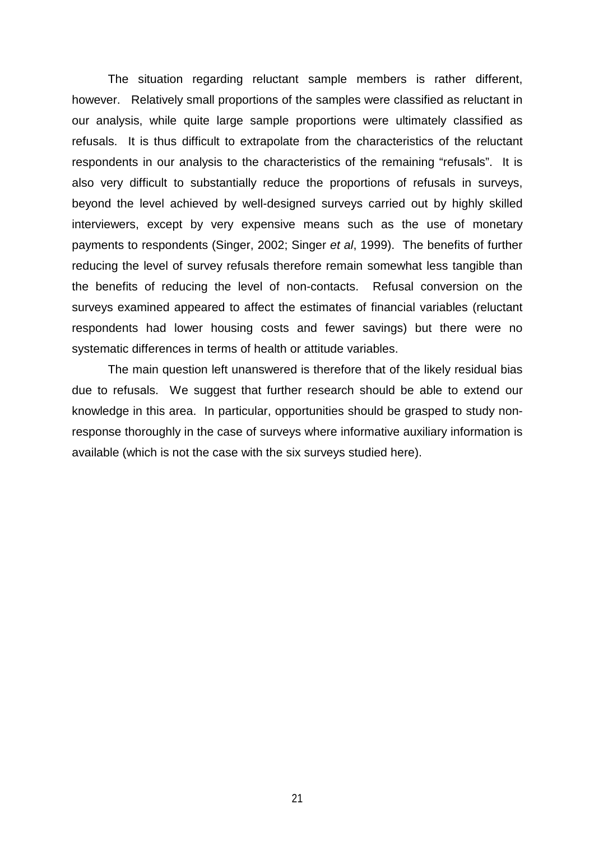The situation regarding reluctant sample members is rather different, however. Relatively small proportions of the samples were classified as reluctant in our analysis, while quite large sample proportions were ultimately classified as refusals. It is thus difficult to extrapolate from the characteristics of the reluctant respondents in our analysis to the characteristics of the remaining "refusals". It is also very difficult to substantially reduce the proportions of refusals in surveys, beyond the level achieved by well-designed surveys carried out by highly skilled interviewers, except by very expensive means such as the use of monetary payments to respondents (Singer, 2002; Singer et al, 1999). The benefits of further reducing the level of survey refusals therefore remain somewhat less tangible than the benefits of reducing the level of non-contacts. Refusal conversion on the surveys examined appeared to affect the estimates of financial variables (reluctant respondents had lower housing costs and fewer savings) but there were no systematic differences in terms of health or attitude variables.

The main question left unanswered is therefore that of the likely residual bias due to refusals. We suggest that further research should be able to extend our knowledge in this area. In particular, opportunities should be grasped to study nonresponse thoroughly in the case of surveys where informative auxiliary information is available (which is not the case with the six surveys studied here).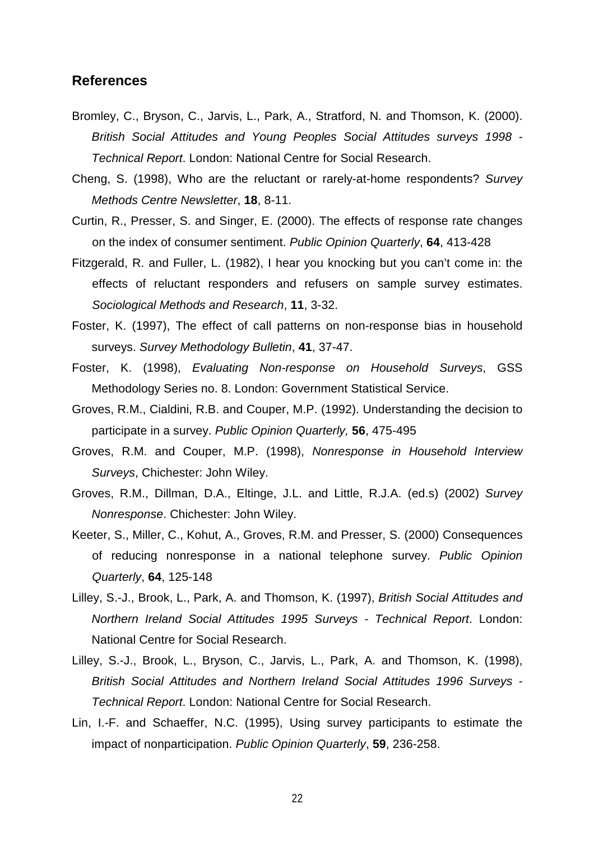## **References**

- Bromley, C., Bryson, C., Jarvis, L., Park, A., Stratford, N. and Thomson, K. (2000). British Social Attitudes and Young Peoples Social Attitudes surveys 1998 - Technical Report. London: National Centre for Social Research.
- Cheng, S. (1998), Who are the reluctant or rarely-at-home respondents? Survey Methods Centre Newsletter, **18**, 8-11.
- Curtin, R., Presser, S. and Singer, E. (2000). The effects of response rate changes on the index of consumer sentiment. Public Opinion Quarterly, **64**, 413-428
- Fitzgerald, R. and Fuller, L. (1982), I hear you knocking but you can't come in: the effects of reluctant responders and refusers on sample survey estimates. Sociological Methods and Research, **11**, 3-32.
- Foster, K. (1997), The effect of call patterns on non-response bias in household surveys. Survey Methodology Bulletin, **41**, 37-47.
- Foster, K. (1998), Evaluating Non-response on Household Surveys, GSS Methodology Series no. 8. London: Government Statistical Service.
- Groves, R.M., Cialdini, R.B. and Couper, M.P. (1992). Understanding the decision to participate in a survey. Public Opinion Quarterly, **56**, 475-495
- Groves, R.M. and Couper, M.P. (1998), Nonresponse in Household Interview Surveys, Chichester: John Wiley.
- Groves, R.M., Dillman, D.A., Eltinge, J.L. and Little, R.J.A. (ed.s) (2002) Survey Nonresponse. Chichester: John Wiley.
- Keeter, S., Miller, C., Kohut, A., Groves, R.M. and Presser, S. (2000) Consequences of reducing nonresponse in a national telephone survey. Public Opinion Quarterly, **64**, 125-148
- Lilley, S.-J., Brook, L., Park, A. and Thomson, K. (1997), British Social Attitudes and Northern Ireland Social Attitudes 1995 Surveys - Technical Report. London: National Centre for Social Research.
- Lilley, S.-J., Brook, L., Bryson, C., Jarvis, L., Park, A. and Thomson, K. (1998), British Social Attitudes and Northern Ireland Social Attitudes 1996 Surveys - Technical Report. London: National Centre for Social Research.
- Lin, I.-F. and Schaeffer, N.C. (1995), Using survey participants to estimate the impact of nonparticipation. Public Opinion Quarterly, **59**, 236-258.